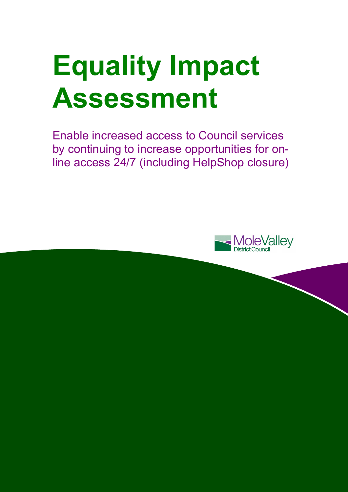# **Equality Impact Assessment**

Enable increased access to Council services by continuing to increase opportunities for online access 24/7 (including HelpShop closure)

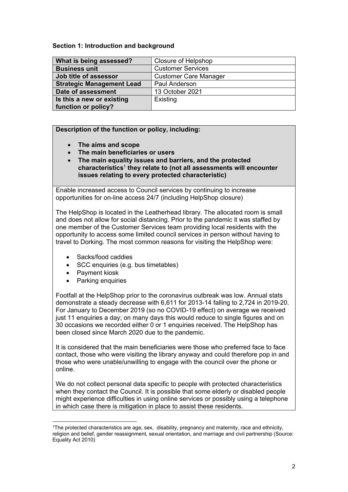#### **Section 1: Introduction and background**

| What is being assessed?          | <b>Closure of Helpshop</b>   |
|----------------------------------|------------------------------|
| <b>Business unit</b>             | <b>Customer Services</b>     |
| Job title of assessor            | <b>Customer Care Manager</b> |
| <b>Strategic Management Lead</b> | <b>Paul Anderson</b>         |
| Date of assessment               | 13 October 2021              |
| Is this a new or existing        | Existing                     |
| function or policy?              |                              |

## **Description of the function or policy, including:**

- **The aims and scope**
- **The main beneficiaries or users**
- **The main equality issues and barriers, and the protected characteristics**<sup>1</sup> **they relate to (not all assessments will encounter issues relating to every protected characteristic)**

Enable increased access to Council services by continuing to increase opportunities for on-line access 24/7 (including HelpShop closure)

The HelpShop is located in the Leatherhead library. The allocated room is small and does not allow for social distancing. Prior to the pandemic it was staffed by one member of the Customer Services team providing local residents with the opportunity to access some limited council services in person without having to travel to Dorking. The most common reasons for visiting the HelpShop were:

- Sacks/food caddies
- SCC enquiries (e.g. bus timetables)
- Payment kiosk

l

Parking enquiries

Footfall at the HelpShop prior to the coronavirus outbreak was low. Annual stats demonstrate a steady decrease with 6,611 for 2013-14 falling to 2,724 in 2019-20. For January to December 2019 (so no COVID-19 effect) on average we received just 11 enquiries a day; on many days this would reduce to single figures and on 30 occasions we recorded either 0 or 1 enquiries received. The HelpShop has been closed since March 2020 due to the pandemic.

It is considered that the main beneficiaries were those who preferred face to face contact, those who were visiting the library anyway and could therefore pop in and those who were unable/unwilling to engage with the council over the phone or online.

We do not collect personal data specific to people with protected characteristics when they contact the Council. It is possible that some elderly or disabled people might experience difficulties in using online services or possibly using a telephone in which case there is mitigation in place to assist these residents.

<sup>1</sup>The protected characteristics are age, sex, disability, pregnancy and maternity, race and ethnicity, religion and belief, gender reassignment, sexual orientation, and marriage and civil partnership (Source: Equality Act 2010)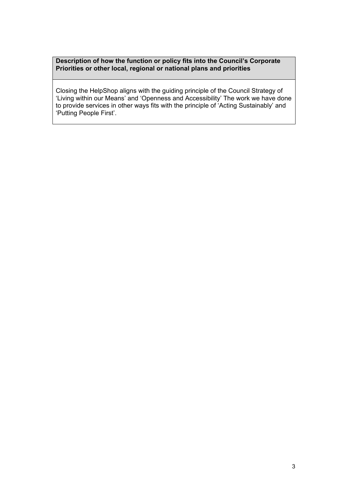**Description of how the function or policy fits into the Council's Corporate Priorities or other local, regional or national plans and priorities** 

Closing the HelpShop aligns with the guiding principle of the Council Strategy of 'Living within our Means' and 'Openness and Accessibility' The work we have done to provide services in other ways fits with the principle of 'Acting Sustainably' and 'Putting People First'.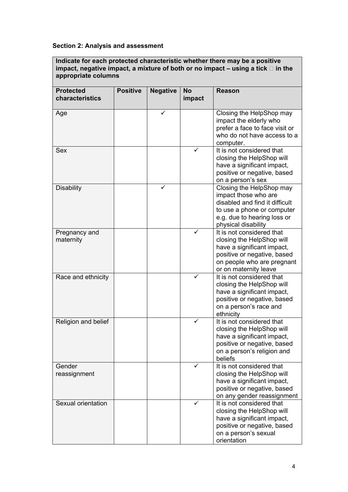# **Section 2: Analysis and assessment**

**Indicate for each protected characteristic whether there may be a positive impact, negative impact, a mixture of both or no impact – using a tick in the appropriate columns** 

| <b>Protected</b><br>characteristics | <b>Positive</b> | <b>Negative</b> | <b>No</b><br>impact | <b>Reason</b>                                                                                                                                                              |
|-------------------------------------|-----------------|-----------------|---------------------|----------------------------------------------------------------------------------------------------------------------------------------------------------------------------|
| Age                                 |                 | ✓               |                     | Closing the HelpShop may<br>impact the elderly who<br>prefer a face to face visit or<br>who do not have access to a<br>computer.                                           |
| Sex                                 |                 |                 |                     | It is not considered that<br>closing the HelpShop will<br>have a significant impact,<br>positive or negative, based<br>on a person's sex                                   |
| <b>Disability</b>                   |                 |                 |                     | Closing the HelpShop may<br>impact those who are<br>disabled and find it difficult<br>to use a phone or computer<br>e.g. due to hearing loss or<br>physical disability     |
| Pregnancy and<br>maternity          |                 |                 | ✓                   | It is not considered that<br>closing the HelpShop will<br>have a significant impact,<br>positive or negative, based<br>on people who are pregnant<br>or on maternity leave |
| Race and ethnicity                  |                 |                 |                     | It is not considered that<br>closing the HelpShop will<br>have a significant impact,<br>positive or negative, based<br>on a person's race and<br>ethnicity                 |
| Religion and belief                 |                 |                 |                     | It is not considered that<br>closing the HelpShop will<br>have a significant impact,<br>positive or negative, based<br>on a person's religion and<br>beliefs               |
| Gender<br>reassignment              |                 |                 | ✓                   | It is not considered that<br>closing the HelpShop will<br>have a significant impact,<br>positive or negative, based<br>on any gender reassignment                          |
| Sexual orientation                  |                 |                 |                     | It is not considered that<br>closing the HelpShop will<br>have a significant impact,<br>positive or negative, based<br>on a person's sexual<br>orientation                 |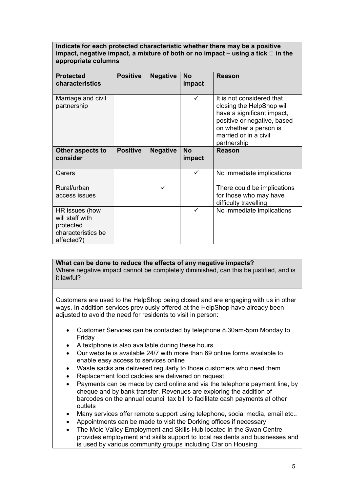#### **Indicate for each protected characteristic whether there may be a positive**  impact, negative impact, a mixture of both or no impact  $-$  using a tick  $\Box$  in the **appropriate columns**

| <b>Protected</b><br><b>characteristics</b>                                         | <b>Positive</b> | <b>Negative</b> | <b>No</b><br>impact | Reason                                                                                                                                                                                |
|------------------------------------------------------------------------------------|-----------------|-----------------|---------------------|---------------------------------------------------------------------------------------------------------------------------------------------------------------------------------------|
| Marriage and civil<br>partnership                                                  |                 |                 | ✓                   | It is not considered that<br>closing the HelpShop will<br>have a significant impact,<br>positive or negative, based<br>on whether a person is<br>married or in a civil<br>partnership |
| Other aspects to                                                                   | <b>Positive</b> | <b>Negative</b> | <b>No</b>           | <b>Reason</b>                                                                                                                                                                         |
| consider                                                                           |                 |                 | impact              |                                                                                                                                                                                       |
| Carers                                                                             |                 |                 | ✓                   | No immediate implications                                                                                                                                                             |
| Rural/urban                                                                        |                 | $\checkmark$    |                     | There could be implications                                                                                                                                                           |
| access issues                                                                      |                 |                 |                     | for those who may have                                                                                                                                                                |
|                                                                                    |                 |                 |                     | difficulty travelling                                                                                                                                                                 |
| HR issues (how<br>will staff with<br>protected<br>characteristics be<br>affected?) |                 |                 | ✓                   | No immediate implications                                                                                                                                                             |

#### **What can be done to reduce the effects of any negative impacts?**

Where negative impact cannot be completely diminished, can this be justified, and is it lawful?

Customers are used to the HelpShop being closed and are engaging with us in other ways. In addition services previously offered at the HelpShop have already been adjusted to avoid the need for residents to visit in person:

- Customer Services can be contacted by telephone 8.30am-5pm Monday to Friday
- A textphone is also available during these hours
- Our website is available 24/7 with more than 69 online forms available to enable easy access to services online
- Waste sacks are delivered regularly to those customers who need them
- Replacement food caddies are delivered on request
- Payments can be made by card online and via the telephone payment line, by cheque and by bank transfer. Revenues are exploring the addition of barcodes on the annual council tax bill to facilitate cash payments at other outlets
- Many services offer remote support using telephone, social media, email etc..
- Appointments can be made to visit the Dorking offices if necessary
- The Mole Valley Employment and Skills Hub located in the Swan Centre provides employment and skills support to local residents and businesses and is used by various community groups including Clarion Housing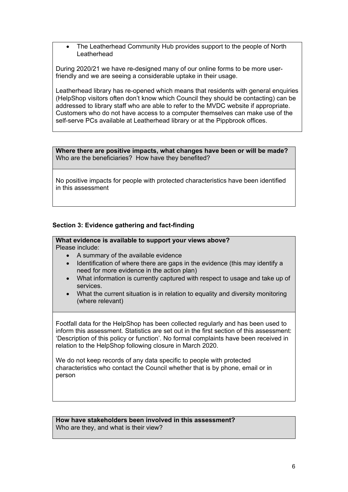• The Leatherhead Community Hub provides support to the people of North **Leatherhead** 

During 2020/21 we have re-designed many of our online forms to be more userfriendly and we are seeing a considerable uptake in their usage.

Leatherhead library has re-opened which means that residents with general enquiries (HelpShop visitors often don't know which Council they should be contacting) can be addressed to library staff who are able to refer to the MVDC website if appropriate. Customers who do not have access to a computer themselves can make use of the self-serve PCs available at Leatherhead library or at the Pippbrook offices.

**Where there are positive impacts, what changes have been or will be made?**  Who are the beneficiaries? How have they benefited?

No positive impacts for people with protected characteristics have been identified in this assessment

#### **Section 3: Evidence gathering and fact-finding**

#### **What evidence is available to support your views above?**  Please include:

- A summary of the available evidence
- Identification of where there are gaps in the evidence (this may identify a need for more evidence in the action plan)
- What information is currently captured with respect to usage and take up of services.
- What the current situation is in relation to equality and diversity monitoring (where relevant)

Footfall data for the HelpShop has been collected regularly and has been used to inform this assessment. Statistics are set out in the first section of this assessment: 'Description of this policy or function'. No formal complaints have been received in relation to the HelpShop following closure in March 2020.

We do not keep records of any data specific to people with protected characteristics who contact the Council whether that is by phone, email or in person

**How have stakeholders been involved in this assessment?**  Who are they, and what is their view?